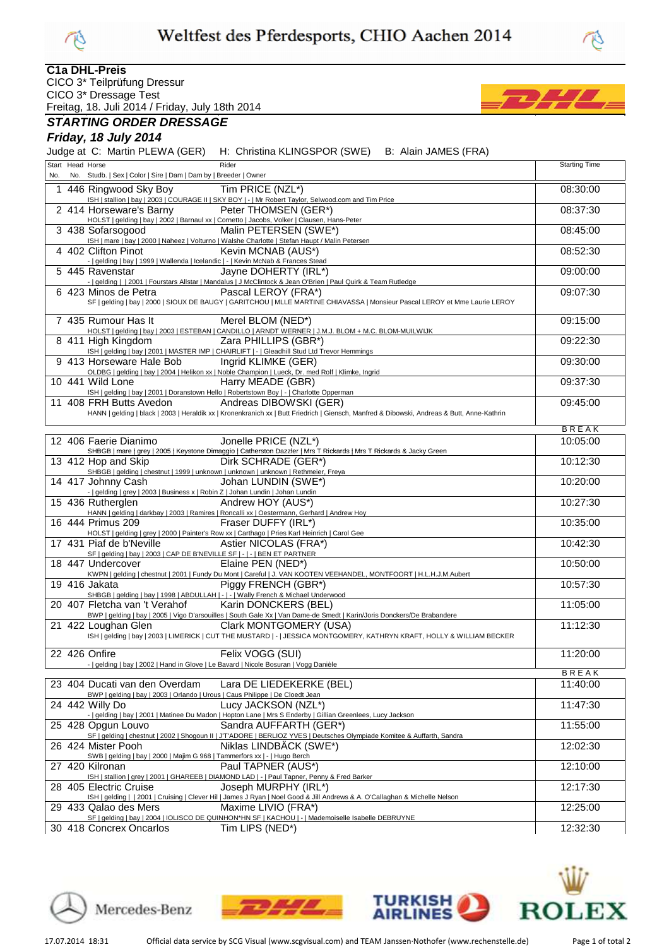



#### **C1a DHL-Preis**

CICO 3\* Teilprüfung Dressur

CICO 3\* Dressage Test Freitag, 18. Juli 2014 / Friday, July 18th 2014

## **STARTING ORDER DRESSAGE**

# **Friday, 18 July 2014**

Judge at C: Martin PLEWA (GER) H: Christina KLINGSPOR (SWE) B: Alain JAMES (FRA)

| No. | Start Head Horse<br>No. Studb.   Sex   Color   Sire   Dam   Dam by   Breeder   Owner                | Rider                                                                                                                                              | <b>Starting Time</b>     |
|-----|-----------------------------------------------------------------------------------------------------|----------------------------------------------------------------------------------------------------------------------------------------------------|--------------------------|
|     |                                                                                                     |                                                                                                                                                    |                          |
| 1   | 446 Ringwood Sky Boy                                                                                | Tim PRICE (NZL*)<br>ISH   stallion   bay   2003   COURAGE II   SKY BOY   -   Mr Robert Taylor, Selwood.com and Tim Price                           | 08:30:00                 |
|     | 2 414 Horseware's Barny                                                                             | Peter THOMSEN (GER*)                                                                                                                               | 08:37:30                 |
|     |                                                                                                     | HOLST   gelding   bay   2002   Barnaul xx   Cornetto   Jacobs, Volker   Clausen, Hans-Peter                                                        |                          |
|     | 3 438 Sofarsogood                                                                                   | Malin PETERSEN (SWE*)<br>ISH   mare   bay   2000   Naheez   Volturno   Walshe Charlotte   Stefan Haupt / Malin Petersen                            | 08:45:00                 |
|     | 4 402 Clifton Pinot                                                                                 | Kevin MCNAB (AUS*)                                                                                                                                 | 08:52:30                 |
|     | -   gelding   bay   1999   Wallenda   Icelandic   -   Kevin McNab & Frances Stead                   |                                                                                                                                                    |                          |
|     | 5 445 Ravenstar                                                                                     | Jayne DOHERTY (IRL*)<br>-   gelding     2001   Fourstars Allstar   Mandalus   J McClintock & Jean O'Brien   Paul Quirk & Team Rutledge             | 09:00:00                 |
|     | 6 423 Minos de Petra                                                                                | Pascal LEROY (FRA*)                                                                                                                                | 09:07:30                 |
|     |                                                                                                     | SF   gelding   bay   2000   SIOUX DE BAUGY   GARITCHOU   MLLE MARTINE CHIAVASSA   Monsieur Pascal LEROY et Mme Laurie LEROY                        |                          |
|     | 7 435 Rumour Has It                                                                                 | Merel BLOM (NED*)                                                                                                                                  | 09:15:00                 |
|     |                                                                                                     | HOLST   gelding   bay   2003   ESTEBAN   CANDILLO   ARNDT WERNER   J.M.J. BLOM + M.C. BLOM-MUILWIJK                                                |                          |
|     | 8 411 High Kingdom                                                                                  | Zara PHILLIPS (GBR*)<br>ISH   gelding   bay   2001   MASTER IMP   CHAIRLIFT   -   Gleadhill Stud Ltd Trevor Hemmings                               | 09:22:30                 |
|     | 9 413 Horseware Hale Bob                                                                            | Ingrid KLIMKE (GER)                                                                                                                                | 09:30:00                 |
|     |                                                                                                     | OLDBG   gelding   bay   2004   Helikon xx   Noble Champion   Lueck, Dr. med Rolf   Klimke, Ingrid                                                  |                          |
|     | 10 441 Wild Lone                                                                                    | Harry MEADE (GBR)<br>ISH   gelding   bay   2001   Doranstown Hello   Robertstown Boy   -   Charlotte Opperman                                      | 09:37:30                 |
|     | 11 408 FRH Butts Avedon                                                                             | Andreas DIBOWSKI (GER)                                                                                                                             | 09:45:00                 |
|     |                                                                                                     | HANN   gelding   black   2003   Heraldik xx   Kronenkranich xx   Butt Friedrich   Giensch, Manfred & Dibowski, Andreas & Butt, Anne-Kathrin        |                          |
|     |                                                                                                     |                                                                                                                                                    | <b>BREAK</b>             |
|     | 12 406 Faerie Dianimo                                                                               | Jonelle PRICE (NZL*)                                                                                                                               | 10:05:00                 |
|     | 13 412 Hop and Skip                                                                                 | SHBGB   mare   grey   2005   Keystone Dimaggio   Catherston Dazzler   Mrs T Rickards   Mrs T Rickards & Jacky Green<br>Dirk SCHRADE (GER*)         | 10:12:30                 |
|     |                                                                                                     | SHBGB   gelding   chestnut   1999   unknown   unknown   unknown   Rethmeier, Freya                                                                 |                          |
|     | 14 417 Johnny Cash                                                                                  | Johan LUNDIN (SWE*)                                                                                                                                | 10:20:00                 |
|     | -   gelding   grey   2003   Business x   Robin Z   Johan Lundin   Johan Lundin<br>15 436 Rutherglen | Andrew HOY (AUS*)                                                                                                                                  | 10:27:30                 |
|     |                                                                                                     | HANN   gelding   darkbay   2003   Ramires   Roncalli xx   Oestermann, Gerhard   Andrew Hoy                                                         |                          |
|     | 16 444 Primus 209                                                                                   | Fraser DUFFY (IRL*)<br>HOLST   gelding   grey   2000   Painter's Row xx   Carthago   Pries Karl Heinrich   Carol Gee                               | 10:35:00                 |
|     | 17 431 Piaf de b'Neville                                                                            | Astier NICOLAS (FRA*)                                                                                                                              | 10:42:30                 |
|     | SF   gelding   bay   2003   CAP DE B'NEVILLE SF   -   -   BEN ET PARTNER                            |                                                                                                                                                    |                          |
|     | 18 447 Undercover                                                                                   | Elaine PEN (NED*)<br>KWPN   gelding   chestnut   2001   Fundy Du Mont   Careful   J. VAN KOOTEN VEEHANDEL, MONTFOORT   H.L.H.J.M.Aubert            | 10:50:00                 |
|     | 19 416 Jakata                                                                                       | Piggy FRENCH (GBR*)                                                                                                                                | 10:57:30                 |
|     |                                                                                                     | SHBGB   gelding   bay   1998   ABDULLAH   -   -   Wally French & Michael Underwood                                                                 |                          |
|     | 20 407 Fletcha van 't Verahof                                                                       | Karin DONCKERS (BEL)<br>BWP   gelding   bay   2005   Vigo D'arsouilles   South Gale Xx   Van Dame-de Smedt   Karin/Joris Donckers/De Brabandere    | 11:05:00                 |
|     | 21 422 Loughan Glen                                                                                 | Clark MONTGOMERY (USA)                                                                                                                             | 11:12:30                 |
|     |                                                                                                     | ISH   gelding   bay   2003   LIMERICK   CUT THE MUSTARD   -   JESSICA MONTGOMERY, KATHRYN KRAFT, HOLLY & WILLIAM BECKER                            |                          |
|     | 22 426 Onfire                                                                                       | Felix VOGG (SUI)                                                                                                                                   | 11:20:00                 |
|     | -   gelding   bay   2002   Hand in Glove   Le Bavard   Nicole Bosuran   Vogg Danièle                |                                                                                                                                                    |                          |
|     | 23 404 Ducati van den Overdam                                                                       | Lara DE LIEDEKERKE (BEL)                                                                                                                           | <b>BREAK</b><br>11:40:00 |
|     | BWP   gelding   bay   2003   Orlando   Urous   Caus Philippe   De Cloedt Jean                       |                                                                                                                                                    |                          |
|     | 24 442 Willy Do                                                                                     | Lucy JACKSON (NZL*)                                                                                                                                | 11:47:30                 |
|     | 25 428 Opgun Louvo                                                                                  | -   gelding   bay   2001   Matinee Du Madon   Hopton Lane   Mrs S Enderby   Gillian Greenlees, Lucy Jackson<br>Sandra AUFFARTH (GER*)              | 11:55:00                 |
|     |                                                                                                     | SF   gelding   chestnut   2002   Shogoun II   J'T'ADORE   BERLIOZ YVES   Deutsches Olympiade Komitee & Auffarth, Sandra                            |                          |
|     | 26 424 Mister Pooh                                                                                  | Niklas LINDBÄCK (SWE*)                                                                                                                             | 12:02:30                 |
|     | SWB   gelding   bay   2000   Majim G 968   Tammerfors xx   -   Hugo Berch<br>27 420 Kilronan        | Paul TAPNER (AUS*)                                                                                                                                 | 12:10:00                 |
|     |                                                                                                     | ISH   stallion   grey   2001   GHAREEB   DIAMOND LAD   -   Paul Tapner, Penny & Fred Barker                                                        |                          |
|     | 28 405 Electric Cruise                                                                              | Joseph MURPHY (IRL*)                                                                                                                               | 12:17:30                 |
|     | 29 433 Qalao des Mers                                                                               | ISH   gelding     2001   Cruising   Clever Hil   James J Ryan   Noel Good & Jill Andrews & A. O'Callaghan & Michelle Nelson<br>Maxime LIVIO (FRA*) | 12:25:00                 |
|     |                                                                                                     | SF   gelding   bay   2004   IOLISCO DE QUINHON*HN SF   KACHOU   -   Mademoiselle Isabelle DEBRUYNE                                                 |                          |
|     | 30 418 Concrex Oncarlos                                                                             | Tim LIPS (NED*)                                                                                                                                    | 12:32:30                 |